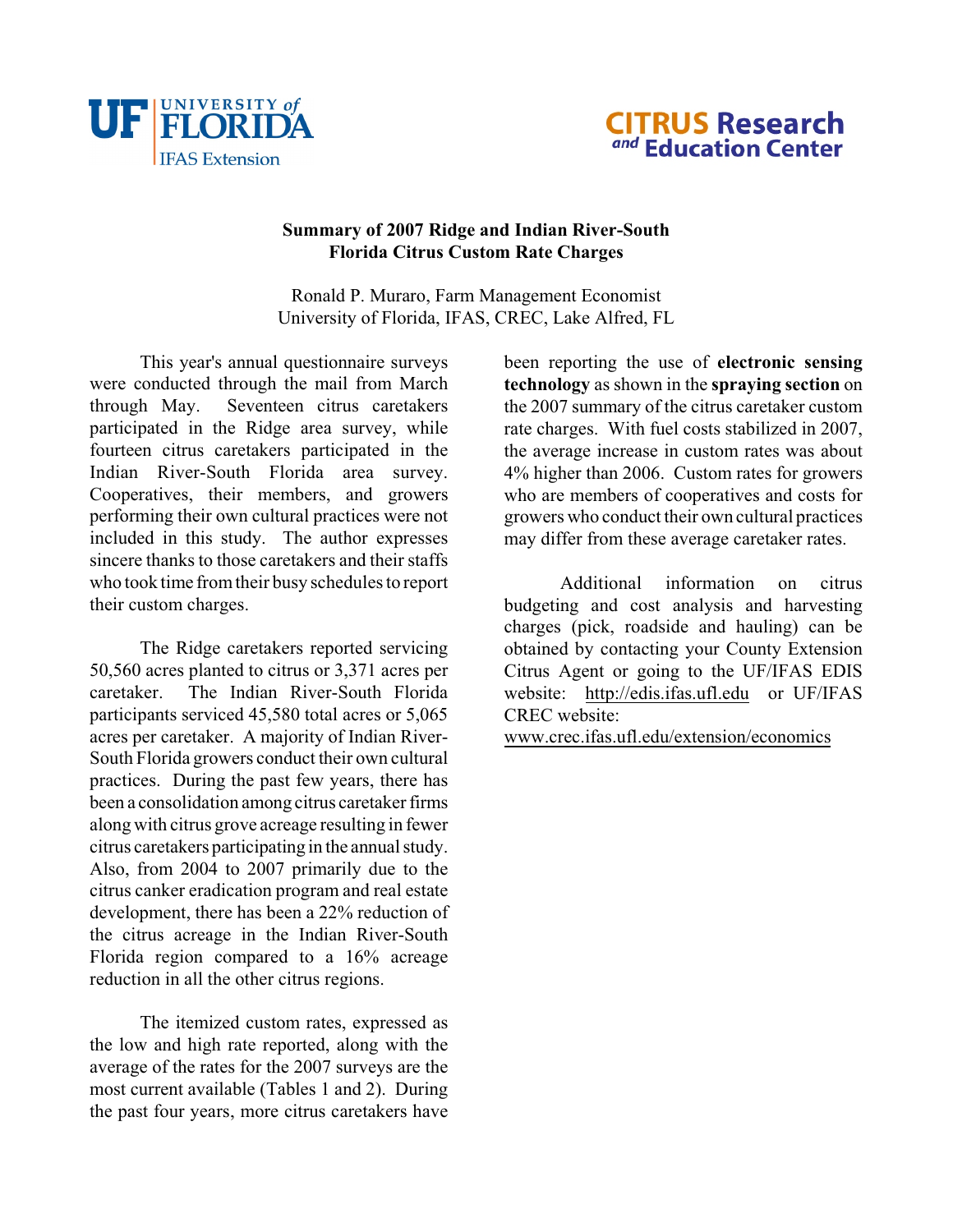



## **Summary of 2007 Ridge and Indian River-South Florida Citrus Custom Rate Charges**

Ronald P. Muraro, Farm Management Economist University of Florida, IFAS, CREC, Lake Alfred, FL

This year's annual questionnaire surveys were conducted through the mail from March through May. Seventeen citrus caretakers participated in the Ridge area survey, while fourteen citrus caretakers participated in the Indian River-South Florida area survey. Cooperatives, their members, and growers performing their own cultural practices were not included in this study. The author expresses sincere thanks to those caretakers and their staffs who took time from their busy schedules to report their custom charges.

The Ridge caretakers reported servicing 50,560 acres planted to citrus or 3,371 acres per caretaker. The Indian River-South Florida participants serviced 45,580 total acres or 5,065 acres per caretaker. A majority of Indian River-South Florida growers conduct their own cultural practices. During the past few years, there has been a consolidation among citrus caretaker firms along with citrus grove acreage resulting in fewer citrus caretakers participating in the annual study. Also, from 2004 to 2007 primarily due to the citrus canker eradication program and real estate development, there has been a 22% reduction of the citrus acreage in the Indian River-South Florida region compared to a 16% acreage reduction in all the other citrus regions.

<span id="page-0-0"></span>The itemized custom rates, expressed as the low and high rate reported, along with the average of the rates for the 2007 surveys are the most current available (Tables 1 and 2). During the past four years, more citrus caretakers have

been reporting the use of **electronic sensing technology** as shown in the **spraying section** on the 2007 summary of the citrus caretaker custom rate charges. With fuel costs stabilized in 2007, the average increase in custom rates was about 4% higher than 2006. Custom rates for growers who are members of cooperatives and costs for growers who conduct their own cultural practices may differ from these average caretaker rates.

Additional information on citrus budgeting and cost analysis and harvesting charges (pick, roadside and hauling) can be obtained by contacting your County Extension Citrus Agent or going to the UF/IFAS EDIS website: [http://edis.ifas.ufl.edu](#page-0-0) or UF/IFAS CREC website:

[www.crec.ifas.ufl.edu/extension/economics](http://www.crec.ifas.ufl.edu/extension/economics)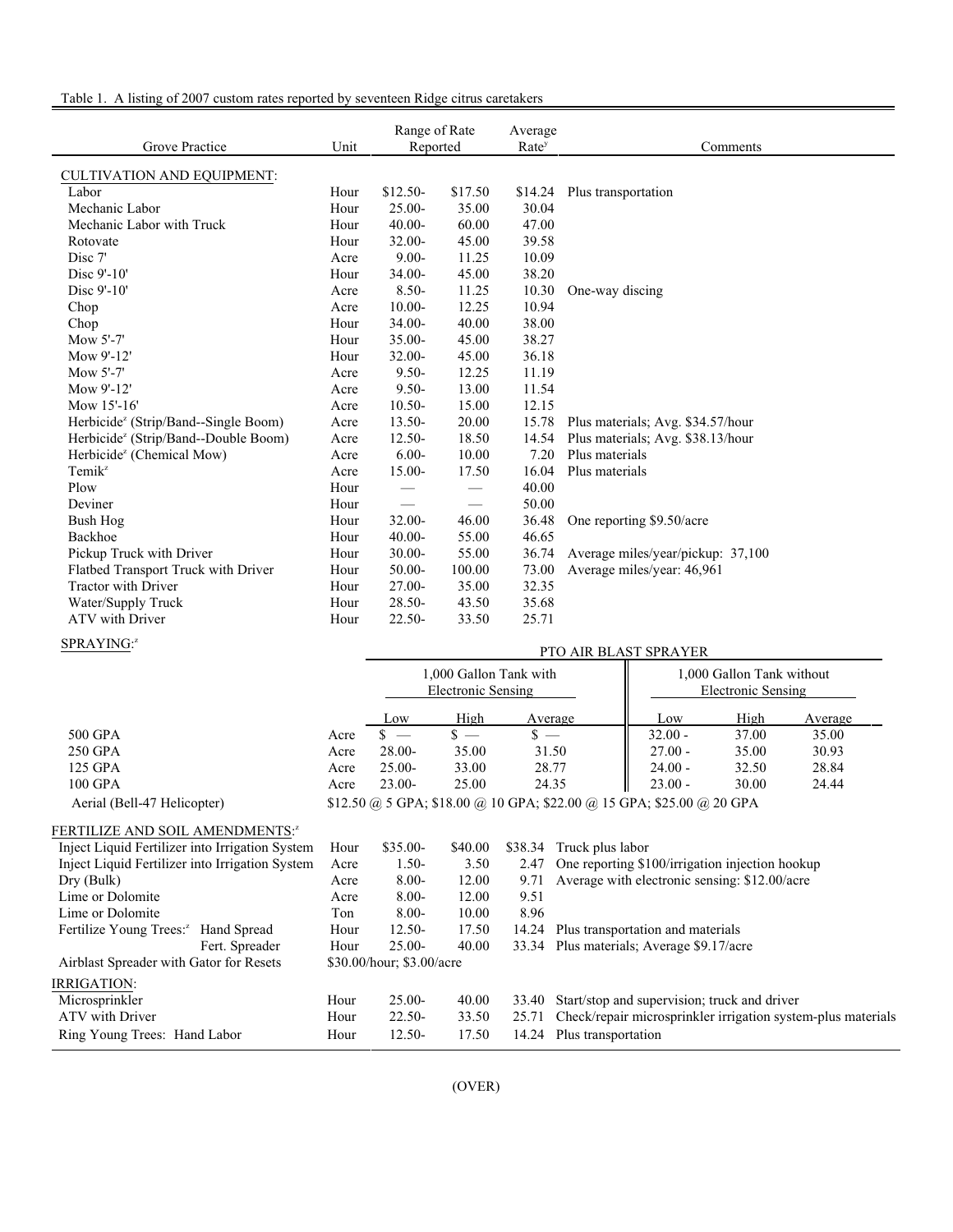| Table 1. A listing of 2007 custom rates reported by seventeen Ridge citrus caretakers |
|---------------------------------------------------------------------------------------|
|---------------------------------------------------------------------------------------|

| Grove Practice                                   | Unit | Range of Rate<br>Reported      |                               | Average<br>Rate <sup>y</sup> | Comments                          |
|--------------------------------------------------|------|--------------------------------|-------------------------------|------------------------------|-----------------------------------|
| <b>CULTIVATION AND EQUIPMENT:</b>                |      |                                |                               |                              |                                   |
| Labor                                            | Hour | $$12.50-$                      | \$17.50                       | \$14.24                      | Plus transportation               |
| Mechanic Labor                                   | Hour | $25.00 -$                      | 35.00                         | 30.04                        |                                   |
| Mechanic Labor with Truck                        | Hour | $40.00 -$                      | 60.00                         | 47.00                        |                                   |
| Rotovate                                         | Hour | $32.00 -$                      | 45.00                         | 39.58                        |                                   |
| Disc 7'                                          | Acre | $9.00 -$                       | 11.25                         | 10.09                        |                                   |
| Disc 9'-10'                                      | Hour | $34.00 -$                      | 45.00                         | 38.20                        |                                   |
| Disc 9'-10'                                      | Acre | $8.50 -$                       | 11.25                         | 10.30                        | One-way discing                   |
| Chop                                             | Acre | $10.00 -$                      | 12.25                         | 10.94                        |                                   |
| Chop                                             | Hour | $34.00 -$                      | 40.00                         | 38.00                        |                                   |
| Mow 5'-7'                                        | Hour | 35.00-                         | 45.00                         | 38.27                        |                                   |
| Mow 9'-12'                                       | Hour | $32.00 -$                      | 45.00                         | 36.18                        |                                   |
| Mow 5'-7'                                        | Acre | $9.50 -$                       | 12.25                         | 11.19                        |                                   |
| Mow 9'-12'                                       | Acre | $9.50 -$                       | 13.00                         | 11.54                        |                                   |
| Mow 15'-16'                                      | Acre | $10.50 -$                      | 15.00                         | 12.15                        |                                   |
| Herbicide <sup>z</sup> (Strip/Band--Single Boom) | Acre | $13.50-$                       | 20.00                         | 15.78                        | Plus materials; Avg. \$34.57/hour |
| Herbicide <sup>z</sup> (Strip/Band--Double Boom) | Acre | $12.50 -$                      | 18.50                         | 14.54                        | Plus materials; Avg. \$38.13/hour |
| Herbicide <sup>z</sup> (Chemical Mow)            | Acre | $6.00 -$                       | 10.00                         | 7.20                         | Plus materials                    |
| $Temik^z$                                        | Acre | 15.00-                         | 17.50                         | 16.04                        | Plus materials                    |
| Plow                                             | Hour | $\hspace{0.05cm}$              | $\overbrace{\phantom{13333}}$ | 40.00                        |                                   |
| Deviner                                          | Hour | $\overbrace{\phantom{123321}}$ |                               | 50.00                        |                                   |
| Bush Hog                                         | Hour | 32.00-                         | 46.00                         | 36.48                        | One reporting \$9.50/acre         |
| Backhoe                                          | Hour | $40.00 -$                      | 55.00                         | 46.65                        |                                   |
| Pickup Truck with Driver                         | Hour | $30.00 -$                      | 55.00                         | 36.74                        | Average miles/year/pickup: 37,100 |
| Flatbed Transport Truck with Driver              | Hour | $50.00 -$                      | 100.00                        | 73.00                        | Average miles/year: 46,961        |
| <b>Tractor with Driver</b>                       | Hour | $27.00 -$                      | 35.00                         | 32.35                        |                                   |
| Water/Supply Truck                               | Hour | $28.50 -$                      | 43.50                         | 35.68                        |                                   |
| <b>ATV</b> with Driver                           | Hour | $22.50 -$                      | 33.50                         | 25.71                        |                                   |

## SPRAYING:2

| SPRAYING:                                          |      | PTO AIR BLAST SPRAYER                                                         |                                              |       |                          |                                                                                                       |       |         |
|----------------------------------------------------|------|-------------------------------------------------------------------------------|----------------------------------------------|-------|--------------------------|-------------------------------------------------------------------------------------------------------|-------|---------|
|                                                    |      |                                                                               | 1,000 Gallon Tank with<br>Electronic Sensing |       |                          | 1,000 Gallon Tank without<br>Electronic Sensing                                                       |       |         |
|                                                    |      | Low                                                                           | High                                         |       | Average                  | Low                                                                                                   | High  | Average |
| 500 GPA                                            | Acre | \$.<br>$\overline{\phantom{a}}$                                               | $s =$                                        | $s =$ |                          | $32.00 -$                                                                                             | 37.00 | 35.00   |
| 250 GPA                                            | Acre | $28.00 -$                                                                     | 35.00                                        |       | 31.50                    | $27.00 -$                                                                                             | 35.00 | 30.93   |
| 125 GPA                                            | Acre | $25.00 -$                                                                     | 33.00                                        |       | 28.77                    | $24.00 -$                                                                                             | 32.50 | 28.84   |
| 100 GPA                                            | Acre | $23.00 -$                                                                     | 25.00                                        |       | 24.35                    | $23.00 -$                                                                                             | 30.00 | 24.44   |
| Aerial (Bell-47 Helicopter)                        |      | \$12.50 (a) 5 GPA; \$18.00 (a) 10 GPA; \$22.00 (a) 15 GPA; \$25.00 (a) 20 GPA |                                              |       |                          |                                                                                                       |       |         |
| <b>FERTILIZE AND SOIL AMENDMENTS:</b> <sup>2</sup> |      |                                                                               |                                              |       |                          |                                                                                                       |       |         |
| Inject Liquid Fertilizer into Irrigation System    | Hour | $$35.00-$                                                                     | \$40.00                                      |       | \$38.34 Truck plus labor |                                                                                                       |       |         |
| Inject Liquid Fertilizer into Irrigation System    | Acre | $1.50-$                                                                       | 3.50                                         | 2.47  |                          | One reporting \$100/irrigation injection hookup                                                       |       |         |
| Dry (Bulk)                                         | Acre | $8.00 -$                                                                      | 12.00                                        | 9.71  |                          | Average with electronic sensing: \$12.00/acre                                                         |       |         |
| Lime or Dolomite                                   | Acre | $8.00 -$                                                                      | 12.00                                        | 9.51  |                          |                                                                                                       |       |         |
| Lime or Dolomite                                   | Ton  | $8.00 -$                                                                      | 10.00                                        | 8.96  |                          |                                                                                                       |       |         |
| Fertilize Young Trees: <sup>2</sup><br>Hand Spread | Hour | $12.50 -$                                                                     | 17.50                                        | 14.24 |                          | Plus transportation and materials                                                                     |       |         |
| Fert. Spreader                                     | Hour | $25.00 -$                                                                     | 40.00                                        |       |                          | 33.34 Plus materials; Average \$9.17/acre                                                             |       |         |
| Airblast Spreader with Gator for Resets            |      | \$30.00/hour; \$3.00/acre                                                     |                                              |       |                          |                                                                                                       |       |         |
| IRRIGATION:                                        |      |                                                                               |                                              |       |                          |                                                                                                       |       |         |
| Microsprinkler                                     | Hour | $25.00 -$                                                                     | 40.00                                        |       |                          | 33.40 Start/stop and supervision; truck and driver                                                    |       |         |
| $\sqrt{m}$                                         |      | $\sim$ $\sim$                                                                 | 22.5                                         |       |                          | $\alpha \in \pi$ and $\alpha$ is the contract of the contract of $\alpha$ is the contract of $\alpha$ |       |         |

ATV with Driver Hour 22.50- 33.50 25.71 Check/repair microsprinkler irrigation system-plus materials Ring Young Trees: Hand Labor Hour 12.50- 17.50 14.24 Plus transportation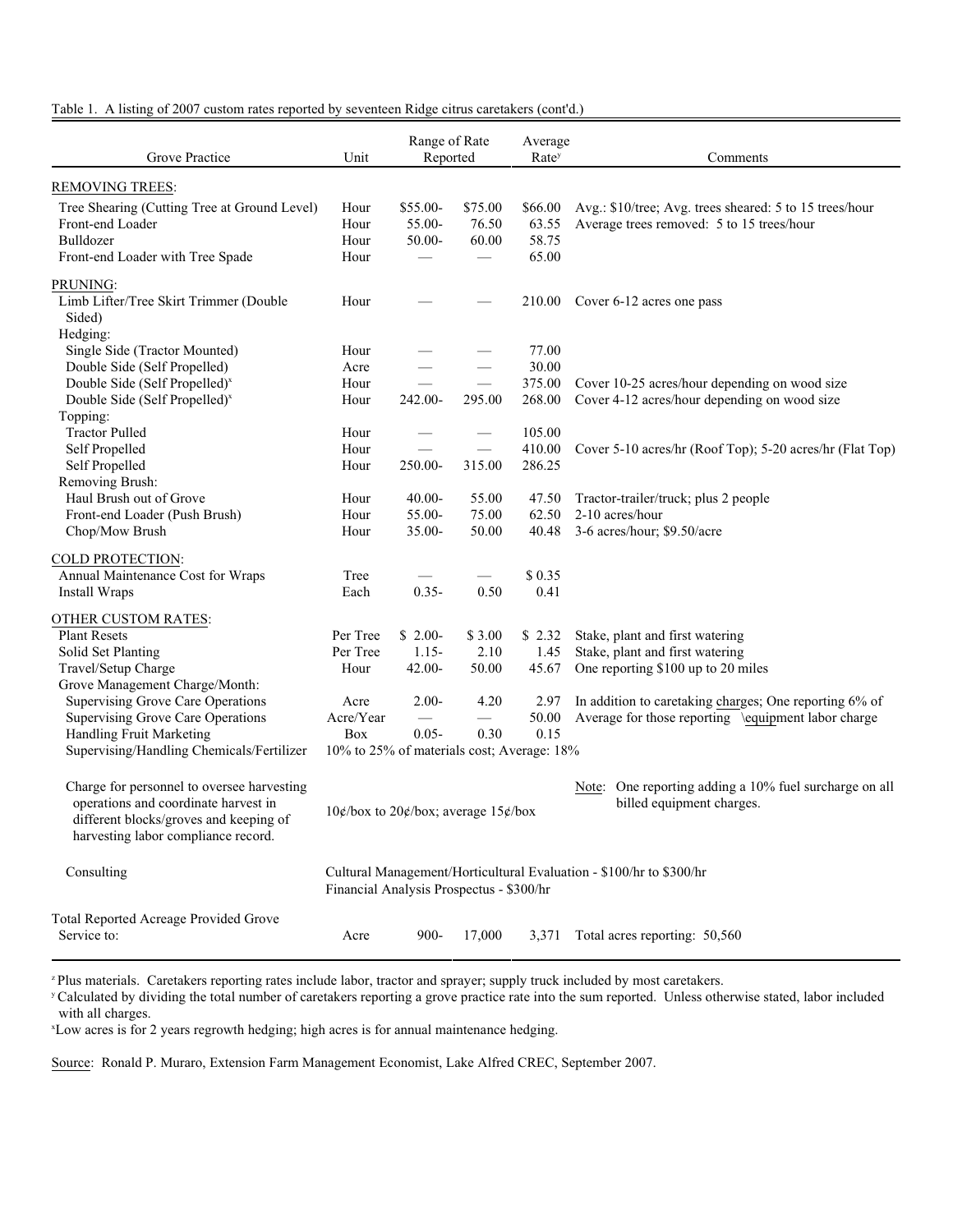| Table 1. A listing of 2007 custom rates reported by seventeen Ridge citrus caretakers (cont'd.) |  |  |  |
|-------------------------------------------------------------------------------------------------|--|--|--|
|-------------------------------------------------------------------------------------------------|--|--|--|

| Grove Practice                                                                                                                                                      | Unit                                       | Range of Rate<br>Reported    |                                                                     | Average<br>Rate <sup>y</sup>       | Comments                                                                                             |
|---------------------------------------------------------------------------------------------------------------------------------------------------------------------|--------------------------------------------|------------------------------|---------------------------------------------------------------------|------------------------------------|------------------------------------------------------------------------------------------------------|
| <b>REMOVING TREES:</b>                                                                                                                                              |                                            |                              |                                                                     |                                    |                                                                                                      |
| Tree Shearing (Cutting Tree at Ground Level)<br>Front-end Loader<br>Bulldozer<br>Front-end Loader with Tree Spade                                                   | Hour<br>Hour<br>Hour<br>Hour               | \$55.00-<br>55.00-<br>50.00- | \$75.00<br>76.50<br>60.00                                           | \$66.00<br>63.55<br>58.75<br>65.00 | Avg.: \$10/tree; Avg. trees sheared: 5 to 15 trees/hour<br>Average trees removed: 5 to 15 trees/hour |
| PRUNING:                                                                                                                                                            |                                            |                              |                                                                     |                                    |                                                                                                      |
| Limb Lifter/Tree Skirt Trimmer (Double<br>Sided)                                                                                                                    | Hour                                       |                              |                                                                     |                                    | 210.00 Cover 6-12 acres one pass                                                                     |
| Hedging:<br>Single Side (Tractor Mounted)                                                                                                                           | Hour                                       |                              |                                                                     | 77.00                              |                                                                                                      |
| Double Side (Self Propelled)                                                                                                                                        | Acre                                       |                              |                                                                     | 30.00                              |                                                                                                      |
| Double Side (Self Propelled) <sup>x</sup>                                                                                                                           | Hour                                       |                              |                                                                     | 375.00                             | Cover 10-25 acres/hour depending on wood size                                                        |
| Double Side (Self Propelled) <sup>x</sup>                                                                                                                           | Hour                                       | 242.00-                      | 295.00                                                              | 268.00                             | Cover 4-12 acres/hour depending on wood size                                                         |
| Topping:                                                                                                                                                            |                                            |                              |                                                                     |                                    |                                                                                                      |
| <b>Tractor Pulled</b>                                                                                                                                               | Hour                                       |                              |                                                                     | 105.00                             |                                                                                                      |
| Self Propelled                                                                                                                                                      | Hour                                       |                              |                                                                     | 410.00                             | Cover 5-10 acres/hr (Roof Top); 5-20 acres/hr (Flat Top)                                             |
| Self Propelled                                                                                                                                                      | Hour                                       | 250.00-                      | 315.00                                                              | 286.25                             |                                                                                                      |
| Removing Brush:                                                                                                                                                     |                                            |                              |                                                                     |                                    |                                                                                                      |
| Haul Brush out of Grove                                                                                                                                             | Hour                                       | $40.00 -$                    | 55.00                                                               | 47.50                              | Tractor-trailer/truck; plus 2 people                                                                 |
| Front-end Loader (Push Brush)                                                                                                                                       | Hour                                       | 55.00-                       | 75.00                                                               | 62.50                              | 2-10 acres/hour                                                                                      |
| Chop/Mow Brush                                                                                                                                                      | Hour                                       | 35.00-                       | 50.00                                                               | 40.48                              | 3-6 acres/hour; \$9.50/acre                                                                          |
| COLD PROTECTION:                                                                                                                                                    |                                            |                              |                                                                     |                                    |                                                                                                      |
| Annual Maintenance Cost for Wraps                                                                                                                                   | Tree                                       |                              | $\overbrace{\phantom{aaaaa}}$                                       | \$0.35                             |                                                                                                      |
| Install Wraps                                                                                                                                                       | Each                                       | $0.35 -$                     | 0.50                                                                | 0.41                               |                                                                                                      |
| <b>OTHER CUSTOM RATES:</b>                                                                                                                                          |                                            |                              |                                                                     |                                    |                                                                                                      |
| <b>Plant Resets</b>                                                                                                                                                 | Per Tree                                   | $$2.00-$                     | \$3.00                                                              | \$2.32                             | Stake, plant and first watering                                                                      |
| Solid Set Planting                                                                                                                                                  | Per Tree                                   | $1.15 -$                     | 2.10                                                                | 1.45                               | Stake, plant and first watering                                                                      |
| Travel/Setup Charge                                                                                                                                                 | Hour                                       | $42.00 -$                    | 50.00                                                               | 45.67                              | One reporting \$100 up to 20 miles                                                                   |
| Grove Management Charge/Month:                                                                                                                                      |                                            |                              |                                                                     |                                    |                                                                                                      |
| <b>Supervising Grove Care Operations</b>                                                                                                                            | Acre                                       | $2.00 -$                     | 4.20                                                                | 2.97                               | In addition to caretaking charges; One reporting 6% of                                               |
| <b>Supervising Grove Care Operations</b>                                                                                                                            | Acre/Year                                  |                              | $\overbrace{\phantom{13333}}$                                       | 50.00                              | Average for those reporting \equipment labor charge                                                  |
| Handling Fruit Marketing                                                                                                                                            | Box                                        | $0.05 -$                     | 0.30                                                                | 0.15                               |                                                                                                      |
| Supervising/Handling Chemicals/Fertilizer                                                                                                                           | 10% to 25% of materials cost; Average: 18% |                              |                                                                     |                                    |                                                                                                      |
| Charge for personnel to oversee harvesting<br>operations and coordinate harvest in<br>different blocks/groves and keeping of<br>harvesting labor compliance record. | $10$ ¢/box to 20¢/box; average $15$ ¢/box  |                              |                                                                     |                                    | Note: One reporting adding a 10% fuel surcharge on all<br>billed equipment charges.                  |
| Consulting                                                                                                                                                          | Financial Analysis Prospectus - \$300/hr   |                              | Cultural Management/Horticultural Evaluation - \$100/hr to \$300/hr |                                    |                                                                                                      |
| Total Reported Acreage Provided Grove<br>Service to:                                                                                                                | Acre                                       | $900 -$                      | 17,000                                                              | 3,371                              | Total acres reporting: 50,560                                                                        |

<sup>z</sup> Plus materials. Caretakers reporting rates include labor, tractor and sprayer; supply truck included by most caretakers.

<sup>y</sup> Calculated by dividing the total number of caretakers reporting a grove practice rate into the sum reported. Unless otherwise stated, labor included with all charges.

<sup>x</sup>Low acres is for 2 years regrowth hedging; high acres is for annual maintenance hedging.

Source: Ronald P. Muraro, Extension Farm Management Economist, Lake Alfred CREC, September 2007.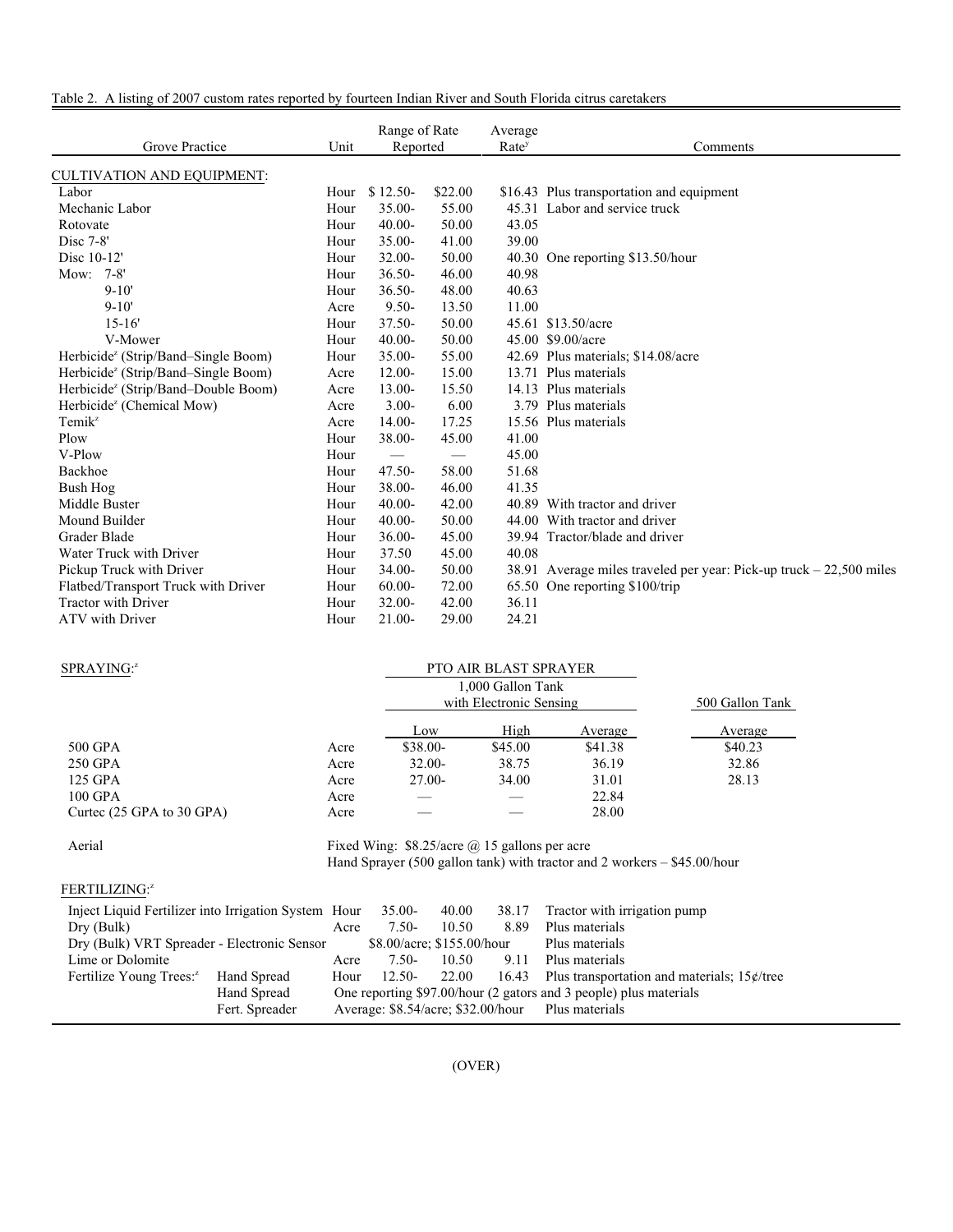|  | Table 2. A listing of 2007 custom rates reported by fourteen Indian River and South Florida citrus caretakers |
|--|---------------------------------------------------------------------------------------------------------------|
|--|---------------------------------------------------------------------------------------------------------------|

| Grove Practice                                  | Unit |                 | Range of Rate<br>Average<br>Reported<br>Rate <sup>y</sup> |       | Comments                                                            |
|-------------------------------------------------|------|-----------------|-----------------------------------------------------------|-------|---------------------------------------------------------------------|
| <b>CULTIVATION AND EQUIPMENT:</b>               |      |                 |                                                           |       |                                                                     |
| Labor                                           | Hour | $$12.50-$       | \$22.00                                                   |       | \$16.43 Plus transportation and equipment                           |
| Mechanic Labor                                  | Hour | $35.00 -$       | 55.00                                                     |       | 45.31 Labor and service truck                                       |
| Rotovate                                        | Hour | $40.00 -$       | 50.00                                                     | 43.05 |                                                                     |
| Disc 7-8'                                       | Hour | $35.00 -$       | 41.00                                                     | 39.00 |                                                                     |
| Disc 10-12'                                     | Hour | $32.00 -$       | 50.00                                                     |       | 40.30 One reporting \$13.50/hour                                    |
| Mow: 7-8'                                       | Hour | $36.50 -$       | 46.00                                                     | 40.98 |                                                                     |
| $9 - 10'$                                       | Hour | $36.50 -$       | 48.00                                                     | 40.63 |                                                                     |
| $9 - 10'$                                       | Acre | $9.50 -$        | 13.50                                                     | 11.00 |                                                                     |
| $15 - 16'$                                      | Hour | $37.50 -$       | 50.00                                                     |       | 45.61 \$13.50/acre                                                  |
| V-Mower                                         | Hour | $40.00 -$       | 50.00                                                     |       | 45.00 \$9.00/acre                                                   |
| Herbicide <sup>z</sup> (Strip/Band-Single Boom) | Hour | $35.00 -$       | 55.00                                                     |       | 42.69 Plus materials; \$14.08/acre                                  |
| Herbicide <sup>z</sup> (Strip/Band–Single Boom) | Acre | $12.00 -$       | 15.00                                                     |       | 13.71 Plus materials                                                |
| Herbicide <sup>z</sup> (Strip/Band-Double Boom) | Acre | 13.00-          | 15.50                                                     |       | 14.13 Plus materials                                                |
| Herbicide <sup>z</sup> (Chemical Mow)           | Acre | $3.00 -$        | 6.00                                                      |       | 3.79 Plus materials                                                 |
| Temik <sup>z</sup>                              | Acre | $14.00 -$       | 17.25                                                     |       | 15.56 Plus materials                                                |
| Plow                                            | Hour | 38.00-          | 45.00                                                     | 41.00 |                                                                     |
| V-Plow                                          | Hour | $\qquad \qquad$ | $\overbrace{\phantom{aaaaa}}$                             | 45.00 |                                                                     |
| Backhoe                                         | Hour | $47.50 -$       | 58.00                                                     | 51.68 |                                                                     |
| Bush Hog                                        | Hour | 38.00-          | 46.00                                                     | 41.35 |                                                                     |
| Middle Buster                                   | Hour | $40.00 -$       | 42.00                                                     |       | 40.89 With tractor and driver                                       |
| Mound Builder                                   | Hour | $40.00 -$       | 50.00                                                     |       | 44.00 With tractor and driver                                       |
| Grader Blade                                    | Hour | $36.00 -$       | 45.00                                                     |       | 39.94 Tractor/blade and driver                                      |
| Water Truck with Driver                         | Hour | 37.50           | 45.00                                                     | 40.08 |                                                                     |
| Pickup Truck with Driver                        | Hour | 34.00-          | 50.00                                                     |       | 38.91 Average miles traveled per year: Pick-up truck – 22,500 miles |
| Flatbed/Transport Truck with Driver             | Hour | $60.00 -$       | 72.00                                                     |       | 65.50 One reporting \$100/trip                                      |
| <b>Tractor with Driver</b>                      | Hour | $32.00 -$       | 42.00                                                     | 36.11 |                                                                     |
| <b>ATV</b> with Driver                          | Hour | 21.00-          | 29.00                                                     | 24.21 |                                                                     |

Ξ

| SPRAYING: <sup>2</sup>                                   |                                                                            | <b>PTO AIR BLAST SPRAYER</b> |       |                                              |                                                |         |  |
|----------------------------------------------------------|----------------------------------------------------------------------------|------------------------------|-------|----------------------------------------------|------------------------------------------------|---------|--|
|                                                          |                                                                            |                              |       | 1,000 Gallon Tank<br>with Electronic Sensing | 500 Gallon Tank                                |         |  |
|                                                          |                                                                            | Low                          |       | High                                         | Average                                        | Average |  |
| 500 GPA                                                  | Acre                                                                       | \$38.00-                     |       | \$45.00                                      | \$41.38                                        | \$40.23 |  |
| 250 GPA                                                  | Acre                                                                       | $32.00 -$                    |       | 38.75                                        | 36.19                                          | 32.86   |  |
| 125 GPA                                                  | Acre                                                                       | $27.00 -$                    |       | 34.00                                        | 31.01                                          | 28.13   |  |
| 100 GPA                                                  | Acre                                                                       |                              |       |                                              | 22.84                                          |         |  |
| Curtec $(25 \text{ GPA}$ to 30 GPA)                      | Acre                                                                       |                              |       |                                              | 28.00                                          |         |  |
| Aerial<br>Fixed Wing: $$8.25/acre$ @ 15 gallons per acre |                                                                            |                              |       |                                              |                                                |         |  |
|                                                          | Hand Sprayer (500 gallon tank) with tractor and 2 workers $-$ \$45.00/hour |                              |       |                                              |                                                |         |  |
| <b>FERTILIZING:</b> <sup>2</sup>                         |                                                                            |                              |       |                                              |                                                |         |  |
| Inject Liquid Fertilizer into Irrigation System Hour     |                                                                            | $35.00-$                     | 40.00 | 38.17                                        | Tractor with irrigation pump                   |         |  |
| Dry (Bulk)                                               | Acre                                                                       | $7.50-$                      | 10.50 | 8.89                                         | Plus materials                                 |         |  |
| Dry (Bulk) VRT Spreader - Electronic Sensor              |                                                                            | \$8.00/acre; \$155.00/hour   |       |                                              | Plus materials                                 |         |  |
| Lime or Dolomite                                         | Acre                                                                       | $7.50-$                      | 10.50 | 9.11                                         | Plus materials                                 |         |  |
| Hand Spread<br>Fertilize Young Trees: <sup>2</sup>       | Hour                                                                       | $12.50-$                     | 22.00 | 16.43                                        | Plus transportation and materials; $15¢$ /tree |         |  |
| Hand Spread                                              | One reporting \$97.00/hour (2 gators and 3 people) plus materials          |                              |       |                                              |                                                |         |  |

Fert. Spreader Average: \$8.54/acre; \$32.00/hour Plus materials